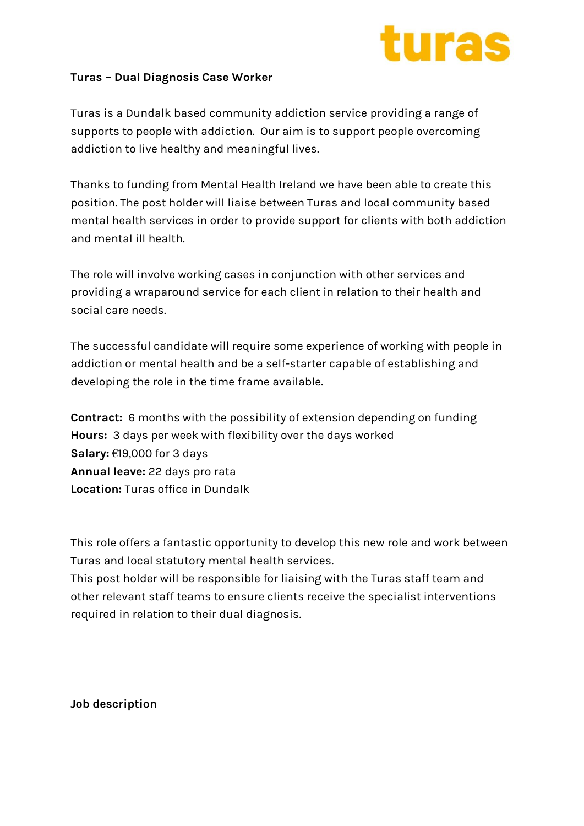

## **Turas – Dual Diagnosis Case Worker**

Turas is a Dundalk based community addiction service providing a range of supports to people with addiction. Our aim is to support people overcoming addiction to live healthy and meaningful lives.

Thanks to funding from Mental Health Ireland we have been able to create this position. The post holder will liaise between Turas and local community based mental health services in order to provide support for clients with both addiction and mental ill health.

The role will involve working cases in conjunction with other services and providing a wraparound service for each client in relation to their health and social care needs.

The successful candidate will require some experience of working with people in addiction or mental health and be a self-starter capable of establishing and developing the role in the time frame available.

**Contract:** 6 months with the possibility of extension depending on funding **Hours:** 3 days per week with flexibility over the days worked **Salary:** €19,000 for 3 days **Annual leave:** 22 days pro rata **Location:** Turas office in Dundalk

This role offers a fantastic opportunity to develop this new role and work between Turas and local statutory mental health services.

This post holder will be responsible for liaising with the Turas staff team and other relevant staff teams to ensure clients receive the specialist interventions required in relation to their dual diagnosis.

**Job description**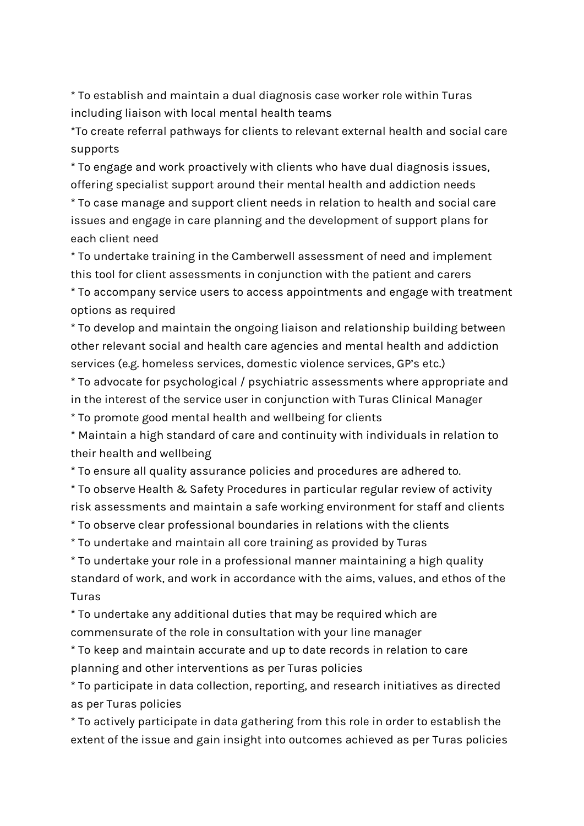\* To establish and maintain a dual diagnosis case worker role within Turas including liaison with local mental health teams

\*To create referral pathways for clients to relevant external health and social care supports

\* To engage and work proactively with clients who have dual diagnosis issues, offering specialist support around their mental health and addiction needs \* To case manage and support client needs in relation to health and social care issues and engage in care planning and the development of support plans for each client need

\* To undertake training in the Camberwell assessment of need and implement this tool for client assessments in conjunction with the patient and carers

\* To accompany service users to access appointments and engage with treatment options as required

\* To develop and maintain the ongoing liaison and relationship building between other relevant social and health care agencies and mental health and addiction services (e.g. homeless services, domestic violence services, GP's etc.)

\* To advocate for psychological / psychiatric assessments where appropriate and in the interest of the service user in conjunction with Turas Clinical Manager

\* To promote good mental health and wellbeing for clients

\* Maintain a high standard of care and continuity with individuals in relation to their health and wellbeing

\* To ensure all quality assurance policies and procedures are adhered to.

\* To observe Health & Safety Procedures in particular regular review of activity risk assessments and maintain a safe working environment for staff and clients \* To observe clear professional boundaries in relations with the clients

\* To undertake and maintain all core training as provided by Turas

\* To undertake your role in a professional manner maintaining a high quality standard of work, and work in accordance with the aims, values, and ethos of the Turas

\* To undertake any additional duties that may be required which are commensurate of the role in consultation with your line manager

\* To keep and maintain accurate and up to date records in relation to care planning and other interventions as per Turas policies

\* To participate in data collection, reporting, and research initiatives as directed as per Turas policies

\* To actively participate in data gathering from this role in order to establish the extent of the issue and gain insight into outcomes achieved as per Turas policies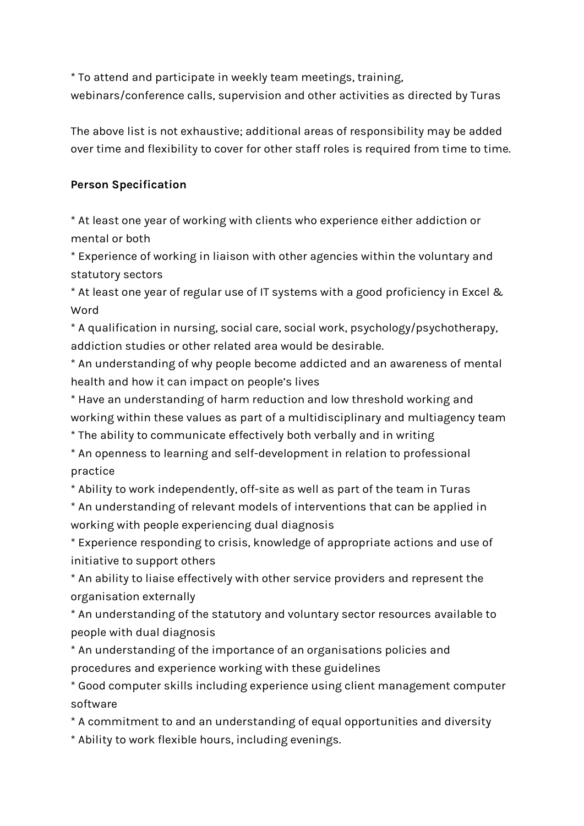\* To attend and participate in weekly team meetings, training,

webinars/conference calls, supervision and other activities as directed by Turas

The above list is not exhaustive; additional areas of responsibility may be added over time and flexibility to cover for other staff roles is required from time to time.

## **Person Specification**

\* At least one year of working with clients who experience either addiction or mental or both

\* Experience of working in liaison with other agencies within the voluntary and statutory sectors

\* At least one year of regular use of IT systems with a good proficiency in Excel & Word

\* A qualification in nursing, social care, social work, psychology/psychotherapy, addiction studies or other related area would be desirable.

\* An understanding of why people become addicted and an awareness of mental health and how it can impact on people's lives

\* Have an understanding of harm reduction and low threshold working and working within these values as part of a multidisciplinary and multiagency team

\* The ability to communicate effectively both verbally and in writing

\* An openness to learning and self-development in relation to professional practice

\* Ability to work independently, off-site as well as part of the team in Turas

\* An understanding of relevant models of interventions that can be applied in working with people experiencing dual diagnosis

\* Experience responding to crisis, knowledge of appropriate actions and use of initiative to support others

\* An ability to liaise effectively with other service providers and represent the organisation externally

\* An understanding of the statutory and voluntary sector resources available to people with dual diagnosis

\* An understanding of the importance of an organisations policies and procedures and experience working with these guidelines

\* Good computer skills including experience using client management computer software

\* A commitment to and an understanding of equal opportunities and diversity

\* Ability to work flexible hours, including evenings.